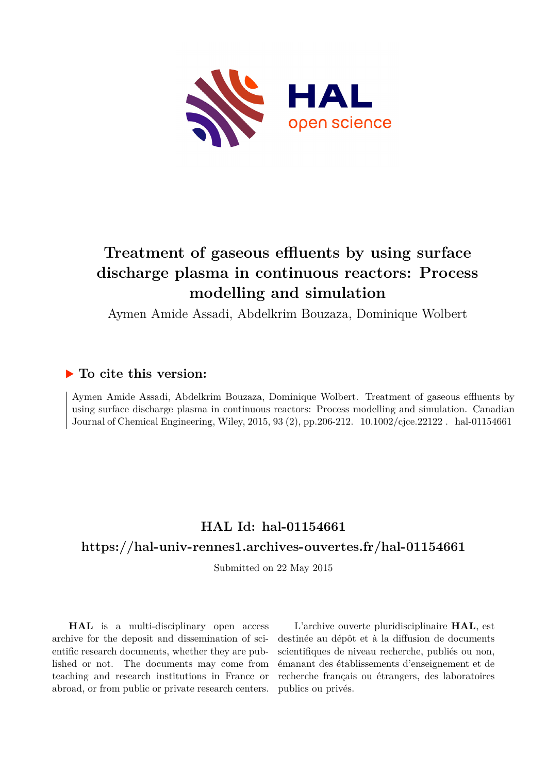

# **Treatment of gaseous effluents by using surface discharge plasma in continuous reactors: Process modelling and simulation**

Aymen Amide Assadi, Abdelkrim Bouzaza, Dominique Wolbert

### **To cite this version:**

Aymen Amide Assadi, Abdelkrim Bouzaza, Dominique Wolbert. Treatment of gaseous effluents by using surface discharge plasma in continuous reactors: Process modelling and simulation. Canadian Journal of Chemical Engineering, Wiley, 2015, 93 (2), pp.206-212.  $10.1002$ /cjce.22122. hal-01154661

## **HAL Id: hal-01154661 <https://hal-univ-rennes1.archives-ouvertes.fr/hal-01154661>**

Submitted on 22 May 2015

**HAL** is a multi-disciplinary open access archive for the deposit and dissemination of scientific research documents, whether they are published or not. The documents may come from teaching and research institutions in France or abroad, or from public or private research centers.

L'archive ouverte pluridisciplinaire **HAL**, est destinée au dépôt et à la diffusion de documents scientifiques de niveau recherche, publiés ou non, émanant des établissements d'enseignement et de recherche français ou étrangers, des laboratoires publics ou privés.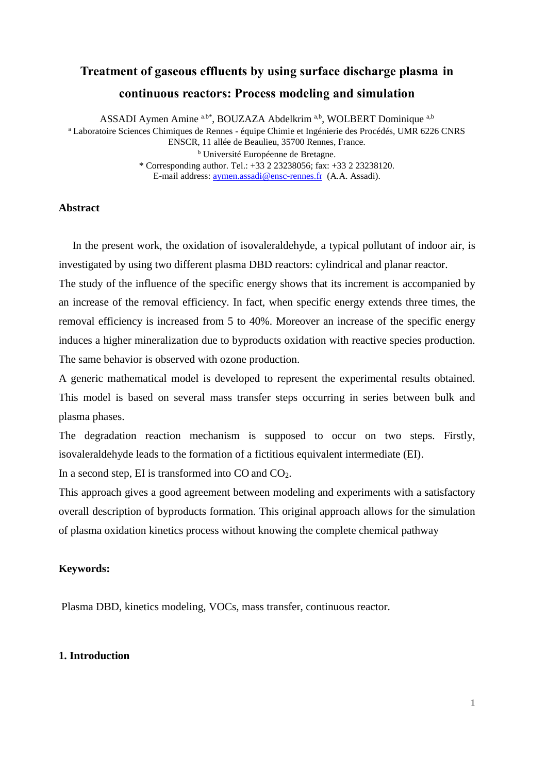## **Treatment of gaseous effluents by using surface discharge plasma in continuous reactors: Process modeling and simulation**

ASSADI Aymen Amine a.b\*, BOUZAZA Abdelkrim a,b, WOLBERT Dominique a,b <sup>a</sup> Laboratoire Sciences Chimiques de Rennes - équipe Chimie et Ingénierie des Procédés, UMR 6226 CNRS ENSCR, 11 allée de Beaulieu, 35700 Rennes, France. <sup>b</sup> Université Européenne de Bretagne. \* Corresponding author. Tel.: +33 2 23238056; fax: +33 2 23238120. E-mail address: [aymen.assadi@ensc-rennes.fr](mailto:aymen.assadi@ensc-rennes.fr) (A.A. Assadi).

**Abstract** 

 In the present work, the oxidation of isovaleraldehyde, a typical pollutant of indoor air, is investigated by using two different plasma DBD reactors: cylindrical and planar reactor.

The study of the influence of the specific energy shows that its increment is accompanied by an increase of the removal efficiency. In fact, when specific energy extends three times, the removal efficiency is increased from 5 to 40%. Moreover an increase of the specific energy induces a higher mineralization due to byproducts oxidation with reactive species production. The same behavior is observed with ozone production.

A generic mathematical model is developed to represent the experimental results obtained. This model is based on several mass transfer steps occurring in series between bulk and plasma phases.

The degradation reaction mechanism is supposed to occur on two steps. Firstly, isovaleraldehyde leads to the formation of a fictitious equivalent intermediate (EI).

In a second step, EI is transformed into  $CO$  and  $CO<sub>2</sub>$ .

This approach gives a good agreement between modeling and experiments with a satisfactory overall description of byproducts formation. This original approach allows for the simulation of plasma oxidation kinetics process without knowing the complete chemical pathway

#### **Keywords:**

Plasma DBD, kinetics modeling, VOCs, mass transfer, continuous reactor.

#### **1. Introduction**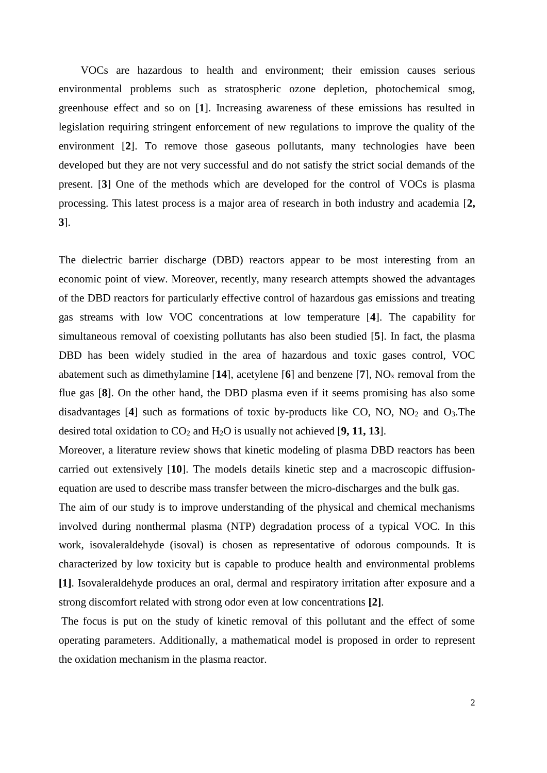VOCs are hazardous to health and environment; their emission causes serious environmental problems such as stratospheric ozone depletion, photochemical smog, greenhouse effect and so on [**1**]. Increasing awareness of these emissions has resulted in legislation requiring stringent enforcement of new regulations to improve the quality of the environment [**2**]. To remove those gaseous pollutants, many technologies have been developed but they are not very successful and do not satisfy the strict social demands of the present. [**3**] One of the methods which are developed for the control of VOCs is plasma processing. This latest process is a major area of research in both industry and academia [**2, 3**].

The dielectric barrier discharge (DBD) reactors appear to be most interesting from an economic point of view. Moreover, recently, many research attempts showed the advantages of the DBD reactors for particularly effective control of hazardous gas emissions and treating gas streams with low VOC concentrations at low temperature [**4**]. The capability for simultaneous removal of coexisting pollutants has also been studied [**5**]. In fact, the plasma DBD has been widely studied in the area of hazardous and toxic gases control, VOC abatement such as dimethylamine  $[14]$ , acetylene  $[6]$  and benzene  $[7]$ ,  $NO<sub>x</sub>$  removal from the flue gas [**8**]. On the other hand, the DBD plasma even if it seems promising has also some disadvantages  $[4]$  such as formations of toxic by-products like CO, NO, NO<sub>2</sub> and O<sub>3</sub>. The desired total oxidation to  $CO_2$  and  $H_2O$  is usually not achieved [9, 11, 13].

Moreover, a literature review shows that kinetic modeling of plasma DBD reactors has been carried out extensively [**10**]. The models details kinetic step and a macroscopic diffusionequation are used to describe mass transfer between the micro-discharges and the bulk gas.

The aim of our study is to improve understanding of the physical and chemical mechanisms involved during nonthermal plasma (NTP) degradation process of a typical VOC. In this work, isovaleraldehyde (isoval) is chosen as representative of odorous compounds. It is characterized by low toxicity but is capable to produce health and environmental problems **[1]**. Isovaleraldehyde produces an oral, dermal and respiratory irritation after exposure and a strong discomfort related with strong odor even at low concentrations **[2]**.

The focus is put on the study of kinetic removal of this pollutant and the effect of some operating parameters. Additionally, a mathematical model is proposed in order to represent the oxidation mechanism in the plasma reactor.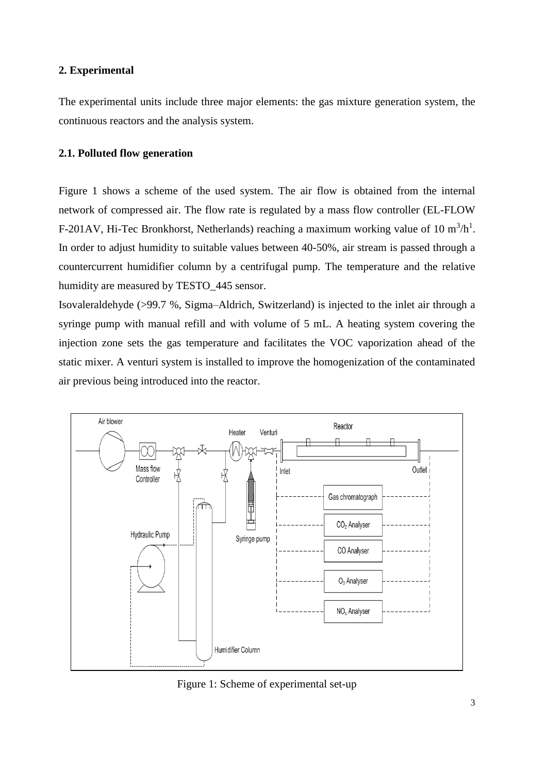#### **2. Experimental**

The experimental units include three major elements: the gas mixture generation system, the continuous reactors and the analysis system.

#### **2.1. Polluted flow generation**

Figure 1 shows a scheme of the used system. The air flow is obtained from the internal network of compressed air. The flow rate is regulated by a mass flow controller (EL-FLOW F-201AV, Hi-Tec Bronkhorst, Netherlands) reaching a maximum working value of 10  $m^3/h^1$ . In order to adjust humidity to suitable values between 40-50%, air stream is passed through a countercurrent humidifier column by a centrifugal pump. The temperature and the relative humidity are measured by TESTO\_445 sensor.

Isovaleraldehyde (>99.7 %, Sigma–Aldrich, Switzerland) is injected to the inlet air through a syringe pump with manual refill and with volume of 5 mL. A heating system covering the injection zone sets the gas temperature and facilitates the VOC vaporization ahead of the static mixer. A venturi system is installed to improve the homogenization of the contaminated air previous being introduced into the reactor.



Figure 1: Scheme of experimental set-up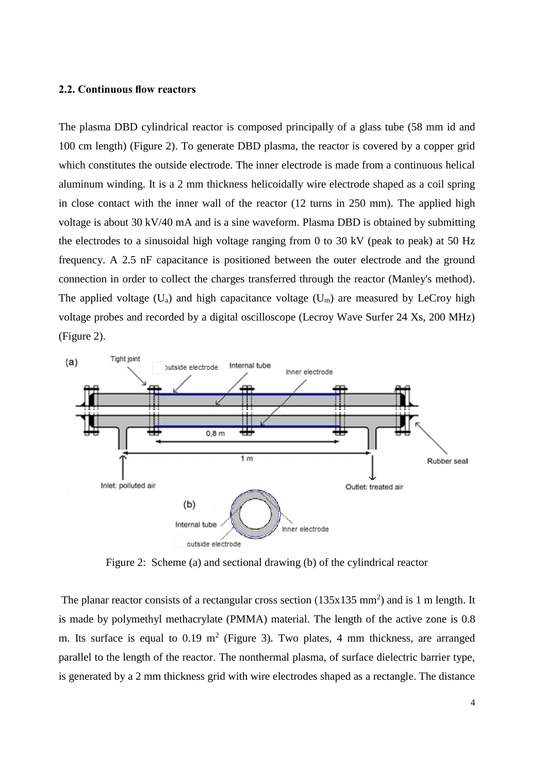#### **2.2. Continuous flow reactors**

The plasma DBD cylindrical reactor is composed principally of a glass tube (58 mm id and 100 cm length) (Figure 2). To generate DBD plasma, the reactor is covered by a copper grid which constitutes the outside electrode. The inner electrode is made from a continuous helical aluminum winding. It is a 2 mm thickness helicoidally wire electrode shaped as a coil spring in close contact with the inner wall of the reactor (12 turns in 250 mm). The applied high voltage is about 30 kV/40 mA and is a sine waveform. Plasma DBD is obtained by submitting the electrodes to a sinusoidal high voltage ranging from 0 to 30 kV (peak to peak) at 50 Hz frequency. A 2.5 nF capacitance is positioned between the outer electrode and the ground connection in order to collect the charges transferred through the reactor (Manley's method). The applied voltage  $(U_a)$  and high capacitance voltage  $(U_m)$  are measured by LeCroy high voltage probes and recorded by a digital oscilloscope (Lecroy Wave Surfer 24 Xs, 200 MHz) (Figure 2).



Figure 2: Scheme (a) and sectional drawing (b) of the cylindrical reactor

The planar reactor consists of a rectangular cross section  $(135x135 \text{ mm}^2)$  and is 1 m length. It is made by polymethyl methacrylate (PMMA) material. The length of the active zone is 0.8 m. Its surface is equal to 0.19  $m^2$  (Figure 3). Two plates, 4 mm thickness, are arranged parallel to the length of the reactor. The nonthermal plasma, of surface dielectric barrier type, is generated by a 2 mm thickness grid with wire electrodes shaped as a rectangle. The distance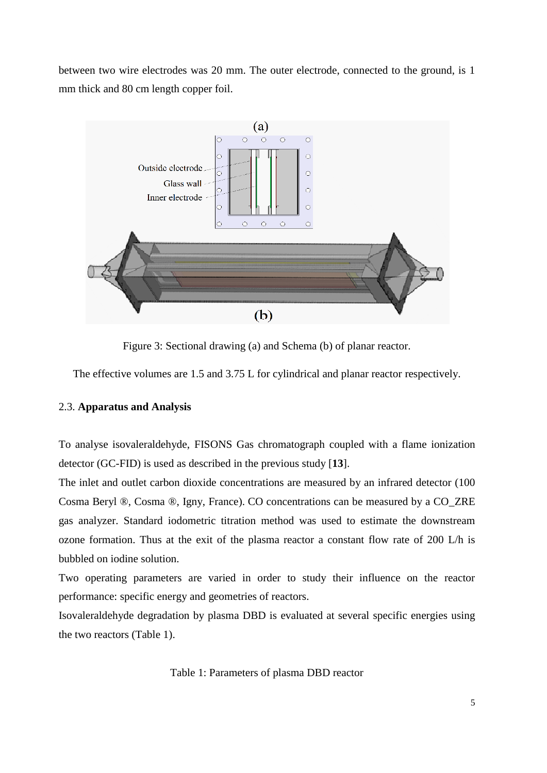between two wire electrodes was 20 mm. The outer electrode, connected to the ground, is 1 mm thick and 80 cm length copper foil.



Figure 3: Sectional drawing (a) and Schema (b) of planar reactor.

The effective volumes are 1.5 and 3.75 L for cylindrical and planar reactor respectively.

#### 2.3. **Apparatus and Analysis**

To analyse isovaleraldehyde, FISONS Gas chromatograph coupled with a flame ionization detector (GC-FID) is used as described in the previous study [**13**].

The inlet and outlet carbon dioxide concentrations are measured by an infrared detector (100 Cosma Beryl ®, Cosma ®, Igny, France). CO concentrations can be measured by a CO\_ZRE gas analyzer. Standard iodometric titration method was used to estimate the downstream ozone formation. Thus at the exit of the plasma reactor a constant flow rate of 200 L/h is bubbled on iodine solution.

Two operating parameters are varied in order to study their influence on the reactor performance: specific energy and geometries of reactors.

Isovaleraldehyde degradation by plasma DBD is evaluated at several specific energies using the two reactors (Table 1).

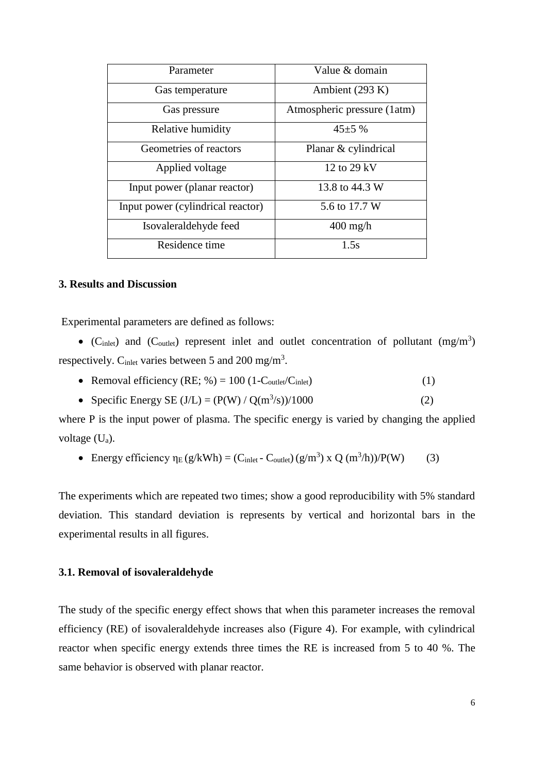| Parameter                         | Value & domain              |  |
|-----------------------------------|-----------------------------|--|
| Gas temperature                   | Ambient (293 K)             |  |
| Gas pressure                      | Atmospheric pressure (1atm) |  |
| Relative humidity                 | $45\pm5\%$                  |  |
| Geometries of reactors            | Planar & cylindrical        |  |
| Applied voltage                   | 12 to 29 kV                 |  |
| Input power (planar reactor)      | 13.8 to 44.3 W              |  |
| Input power (cylindrical reactor) | 5.6 to 17.7 W               |  |
| Isovaleraldehyde feed             | $400$ mg/h                  |  |
| Residence time                    | 1.5s                        |  |

#### **3. Results and Discussion**

Experimental parameters are defined as follows:

 $\bullet$  (C<sub>inlet</sub>) and (C<sub>outlet</sub>) represent inlet and outlet concentration of pollutant (mg/m<sup>3</sup>) respectively.  $C_{\text{inlet}}$  varies between 5 and 200 mg/m<sup>3</sup>.

- Removal efficiency  $(RE; %)= 100 (1-C_{\text{outlet}}/C_{\text{inlet}})$  (1)
- Specific Energy SE (J/L) =  $(P(W) / Q(m^3/s) / 1000$  (2)

where P is the input power of plasma. The specific energy is varied by changing the applied voltage (Ua).

Energy efficiency  $\eta_E(g/kWh) = (C_{inlet} - C_{outlet}) (g/m^3) \times Q (m^3/h)/P(W)$  (3)

The experiments which are repeated two times; show a good reproducibility with 5% standard deviation. This standard deviation is represents by vertical and horizontal bars in the experimental results in all figures.

#### **3.1. Removal of isovaleraldehyde**

The study of the specific energy effect shows that when this parameter increases the removal efficiency (RE) of isovaleraldehyde increases also (Figure 4). For example, with cylindrical reactor when specific energy extends three times the RE is increased from 5 to 40 %. The same behavior is observed with planar reactor.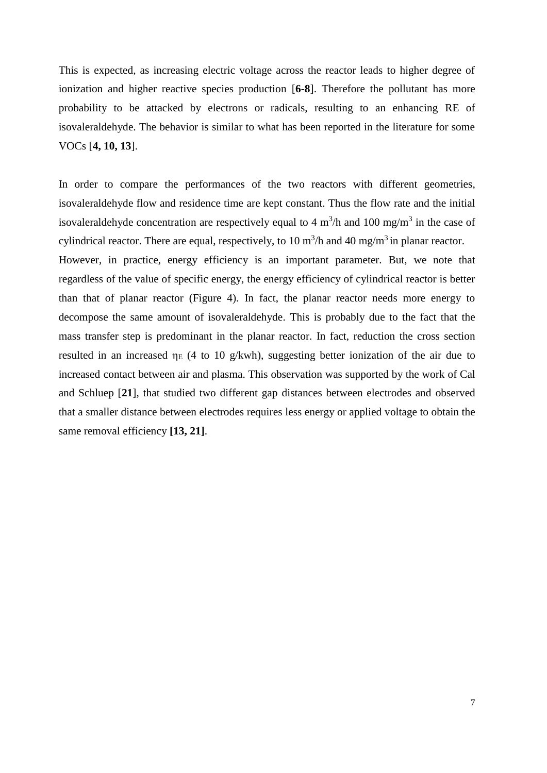This is expected, as increasing electric voltage across the reactor leads to higher degree of ionization and higher reactive species production [**6-8**]. Therefore the pollutant has more probability to be attacked by electrons or radicals, resulting to an enhancing RE of isovaleraldehyde. The behavior is similar to what has been reported in the literature for some VOCs [**4, 10, 13**].

In order to compare the performances of the two reactors with different geometries, isovaleraldehyde flow and residence time are kept constant. Thus the flow rate and the initial isovaleraldehyde concentration are respectively equal to 4  $m<sup>3</sup>/h$  and 100 mg/m<sup>3</sup> in the case of cylindrical reactor. There are equal, respectively, to 10  $m^3/h$  and 40 mg/m<sup>3</sup> in planar reactor. However, in practice, energy efficiency is an important parameter. But, we note that regardless of the value of specific energy, the energy efficiency of cylindrical reactor is better than that of planar reactor (Figure 4). In fact, the planar reactor needs more energy to decompose the same amount of isovaleraldehyde. This is probably due to the fact that the mass transfer step is predominant in the planar reactor. In fact, reduction the cross section resulted in an increased  $\eta_E$  (4 to 10 g/kwh), suggesting better ionization of the air due to increased contact between air and plasma. This observation was supported by the work of Cal and Schluep [**21**], that studied two different gap distances between electrodes and observed that a smaller distance between electrodes requires less energy or applied voltage to obtain the same removal efficiency **[13, 21]**.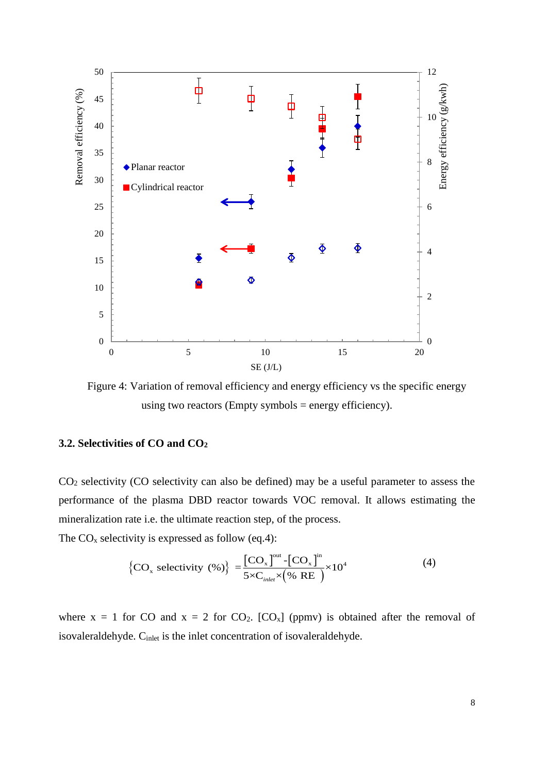

Figure 4: Variation of removal efficiency and energy efficiency vs the specific energy using two reactors (Empty symbols = energy efficiency).

#### **3.2. Selectivities of CO and CO<sup>2</sup>**

CO<sup>2</sup> selectivity (CO selectivity can also be defined) may be a useful parameter to assess the performance of the plasma DBD reactor towards VOC removal. It allows estimating the mineralization rate i.e. the ultimate reaction step, of the process.

The  $CO<sub>x</sub>$  selectivity is expressed as follow (eq.4):

$$
\left\{\text{CO}_{\text{x}}\text{ selectivity } (\%)\right\} = \frac{\left[\text{CO}_{\text{x}}\right]^{\text{out}} - \left[\text{CO}_{\text{x}}\right]^{\text{in}}}{5 \times \text{C}_{\text{inlet}} \times (\% \text{ RE})} \times 10^4 \tag{4}
$$

where  $x = 1$  for CO and  $x = 2$  for CO<sub>2</sub>. [CO<sub>x</sub>] (ppmv) is obtained after the removal of isovaleraldehyde. C<sub>inlet</sub> is the inlet concentration of isovaleraldehyde.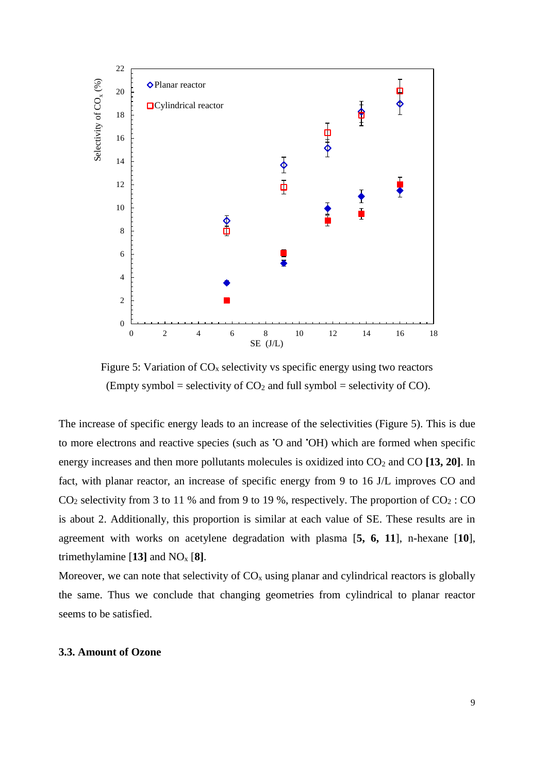

Figure 5: Variation of  $CO<sub>x</sub>$  selectivity vs specific energy using two reactors (Empty symbol = selectivity of  $CO<sub>2</sub>$  and full symbol = selectivity of CO).

The increase of specific energy leads to an increase of the selectivities (Figure 5). This is due to more electrons and reactive species (such as •O and •OH) which are formed when specific energy increases and then more pollutants molecules is oxidized into  $CO<sub>2</sub>$  and  $CO$  [13, 20]. In fact, with planar reactor, an increase of specific energy from 9 to 16 J/L improves CO and  $CO<sub>2</sub>$  selectivity from 3 to 11 % and from 9 to 19 %, respectively. The proportion of  $CO<sub>2</sub>$ : CO is about 2. Additionally, this proportion is similar at each value of SE. These results are in agreement with works on acetylene degradation with plasma [**5, 6, 11**], n-hexane [**10**], trimethylamine  $[13]$  and  $NO<sub>x</sub> [8]$ .

Moreover, we can note that selectivity of  $CO<sub>x</sub>$  using planar and cylindrical reactors is globally the same. Thus we conclude that changing geometries from cylindrical to planar reactor seems to be satisfied.

#### **3.3. Amount of Ozone**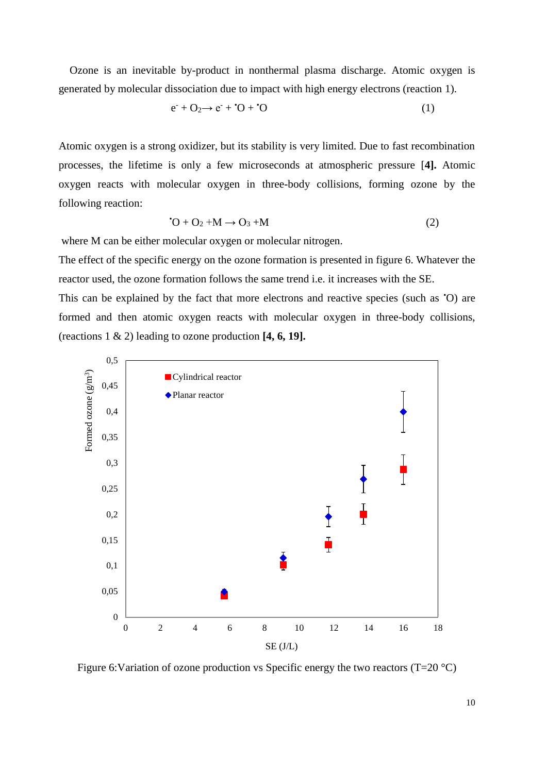Ozone is an inevitable by-product in nonthermal plasma discharge. Atomic oxygen is generated by molecular dissociation due to impact with high energy electrons (reaction 1).

$$
\mathbf{e}^{\cdot} + \mathbf{O}_2 \rightarrow \mathbf{e}^{\cdot} + \mathbf{O} + \mathbf{O} \tag{1}
$$

Atomic oxygen is a strong oxidizer, but its stability is very limited. Due to fast recombination processes, the lifetime is only a few microseconds at atmospheric pressure [**4].** Atomic oxygen reacts with molecular oxygen in three-body collisions, forming ozone by the following reaction:

$$
{}^{*}O + O_2 + M \rightarrow O_3 + M \tag{2}
$$

where M can be either molecular oxygen or molecular nitrogen.

The effect of the specific energy on the ozone formation is presented in figure 6. Whatever the reactor used, the ozone formation follows the same trend i.e. it increases with the SE. This can be explained by the fact that more electrons and reactive species (such as 'O) are formed and then atomic oxygen reacts with molecular oxygen in three-body collisions, (reactions 1 & 2) leading to ozone production **[4, 6, 19].**



Figure 6: Variation of ozone production vs Specific energy the two reactors (T=20  $^{\circ}$ C)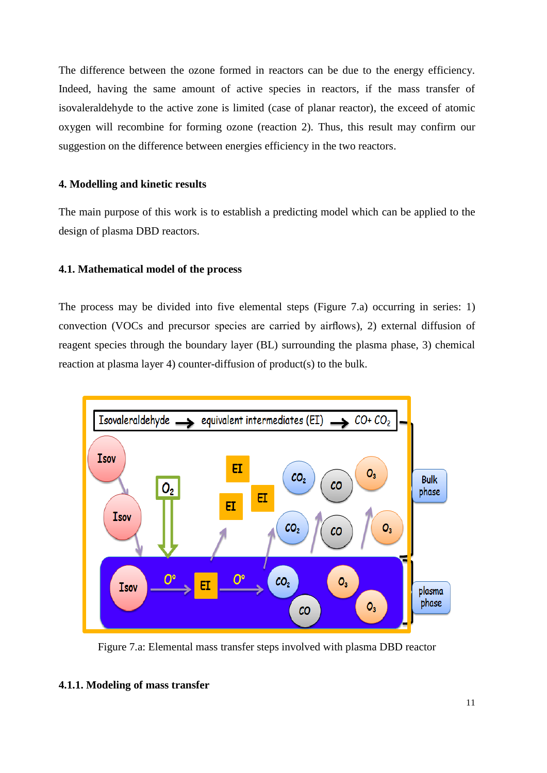The difference between the ozone formed in reactors can be due to the energy efficiency. Indeed, having the same amount of active species in reactors, if the mass transfer of isovaleraldehyde to the active zone is limited (case of planar reactor), the exceed of atomic oxygen will recombine for forming ozone (reaction 2). Thus, this result may confirm our suggestion on the difference between energies efficiency in the two reactors.

#### **4. Modelling and kinetic results**

The main purpose of this work is to establish a predicting model which can be applied to the design of plasma DBD reactors.

#### **4.1. Mathematical model of the process**

The process may be divided into five elemental steps (Figure 7.a) occurring in series: 1) convection (VOCs and precursor species are carried by airflows), 2) external diffusion of reagent species through the boundary layer (BL) surrounding the plasma phase, 3) chemical reaction at plasma layer 4) counter-diffusion of product(s) to the bulk.



Figure 7.a: Elemental mass transfer steps involved with plasma DBD reactor

#### **4.1.1. Modeling of mass transfer**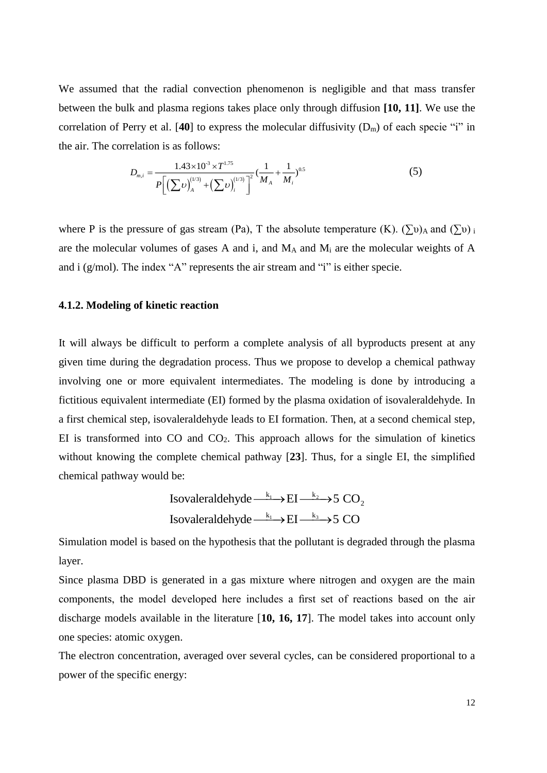We assumed that the radial convection phenomenon is negligible and that mass transfer between the bulk and plasma regions takes place only through diffusion **[10, 11]**. We use the correlation of Perry et al. [**40**] to express the molecular diffusivity (Dm) of each specie "i" in the air. The correlation is as follows:

$$
D_{m,i} = \frac{1.43 \times 10^{-3} \times T^{1.75}}{P\left[\left(\sum v\right)_A^{(1/3)} + \left(\sum v\right)_i^{(1/3)}\right]^2} \left(\frac{1}{M_A} + \frac{1}{M_i}\right)^{0.5}
$$
(5)

where P is the pressure of gas stream (Pa), T the absolute temperature (K).  $(\Sigma \nu)$ <sub>A</sub> and  $(\Sigma \nu)$  i are the molecular volumes of gases A and i, and  $M_A$  and  $M_i$  are the molecular weights of A and i (g/mol). The index "A" represents the air stream and "i" is either specie.

#### **4.1.2. Modeling of kinetic reaction**

It will always be difficult to perform a complete analysis of all byproducts present at any given time during the degradation process. Thus we propose to develop a chemical pathway involving one or more equivalent intermediates. The modeling is done by introducing a fictitious equivalent intermediate (EI) formed by the plasma oxidation of isovaleraldehyde. In a first chemical step, isovaleraldehyde leads to EI formation. Then, at a second chemical step, EI is transformed into  $CO$  and  $CO<sub>2</sub>$ . This approach allows for the simulation of kinetics without knowing the complete chemical pathway [**23**]. Thus, for a single EI, the simplified chemical pathway would be:

Isovaleraldehyde 
$$
\xrightarrow{k_1} EI \xrightarrow{k_2} 5 CO_2
$$
  
Isovaleraldehyde  $\xrightarrow{k_1} EI \xrightarrow{k_3} 5 CO$ 

Simulation model is based on the hypothesis that the pollutant is degraded through the plasma layer.

Since plasma DBD is generated in a gas mixture where nitrogen and oxygen are the main components, the model developed here includes a first set of reactions based on the air discharge models available in the literature [**10, 16, 17**]. The model takes into account only one species: atomic oxygen.

The electron concentration, averaged over several cycles, can be considered proportional to a power of the specific energy: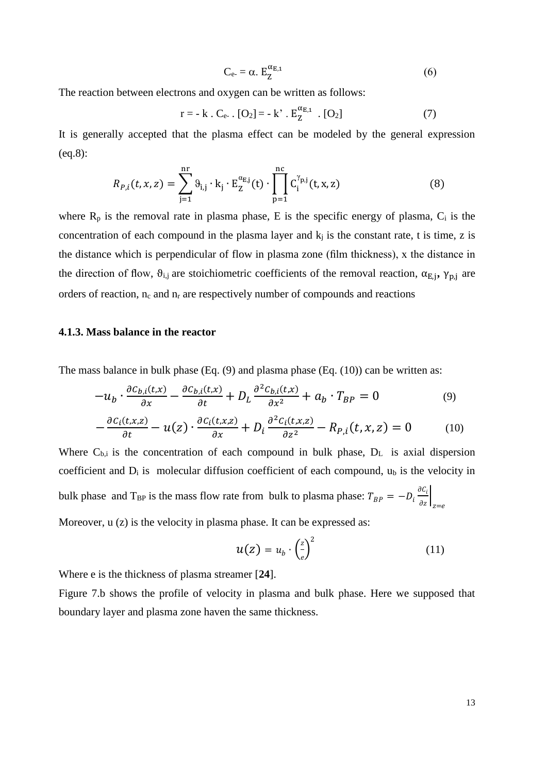$$
C_{e} = \alpha. E_{Z}^{\alpha_{E,1}} \tag{6}
$$

The reaction between electrons and oxygen can be written as follows:

$$
r = -k \cdot C_{e^-} \cdot [O_2] = -k' \cdot E_Z^{\alpha_{E,1}} \cdot [O_2]
$$
 (7)

It is generally accepted that the plasma effect can be modeled by the general expression (eq.8):

$$
R_{P,i}(t, x, z) = \sum_{j=1}^{nr} \vartheta_{i,j} \cdot k_j \cdot E_Z^{\alpha_{E,j}}(t) \cdot \prod_{p=1}^{nc} C_i^{\gamma_{p,j}}(t, x, z)
$$
(8)

where  $R_p$  is the removal rate in plasma phase, E is the specific energy of plasma,  $C_i$  is the concentration of each compound in the plasma layer and  $k_j$  is the constant rate, t is time, z is the distance which is perpendicular of flow in plasma zone (film thickness), x the distance in the direction of flow,  $\theta_{i,j}$  are stoichiometric coefficients of the removal reaction,  $\alpha_{E,j}$ ,  $\gamma_{p,j}$  are orders of reaction,  $n_c$  and  $n_r$  are respectively number of compounds and reactions

#### **4.1.3. Mass balance in the reactor**

The mass balance in bulk phase (Eq. (9) and plasma phase (Eq. (10)) can be written as:

$$
-u_b \cdot \frac{\partial c_{b,i}(t,x)}{\partial x} - \frac{\partial c_{b,i}(t,x)}{\partial t} + D_L \frac{\partial^2 c_{b,i}(t,x)}{\partial x^2} + a_b \cdot T_{BP} = 0 \tag{9}
$$

$$
-\frac{\partial c_i(t, x, z)}{\partial t} - u(z) \cdot \frac{\partial c_i(t, x, z)}{\partial x} + D_i \frac{\partial^2 c_i(t, x, z)}{\partial z^2} - R_{P,i}(t, x, z) = 0 \tag{10}
$$

Where  $C_{b,i}$  is the concentration of each compound in bulk phase,  $D_L$  is axial dispersion coefficient and  $D_i$  is molecular diffusion coefficient of each compound,  $u_b$  is the velocity in bulk phase and T<sub>BP</sub> is the mass flow rate from bulk to plasma phase:  $T_{BP} = -D_i \frac{\partial C_i}{\partial z}\Big|_{z=e}$ Moreover,  $u(z)$  is the velocity in plasma phase. It can be expressed as:

$$
u(z) = u_b \cdot \left(\frac{z}{e}\right)^2 \tag{11}
$$

Where e is the thickness of plasma streamer [**24**].

Figure 7.b shows the profile of velocity in plasma and bulk phase. Here we supposed that boundary layer and plasma zone haven the same thickness.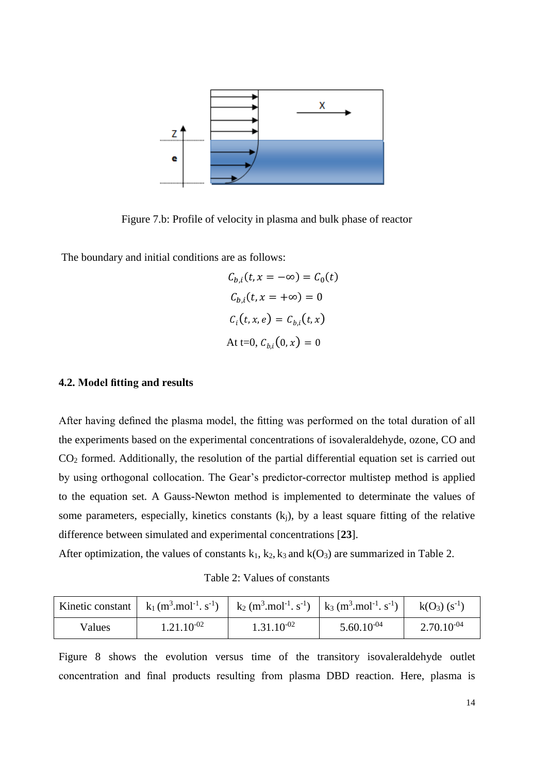

Figure 7.b: Profile of velocity in plasma and bulk phase of reactor

The boundary and initial conditions are as follows:

$$
C_{b,i}(t, x = -\infty) = C_0(t)
$$
  

$$
C_{b,i}(t, x = +\infty) = 0
$$
  

$$
C_i(t, x, e) = C_{b,i}(t, x)
$$
  
At t=0,  $C_{b,i}(0, x) = 0$ 

### **4.2. Model fitting and results**

After having defined the plasma model, the fitting was performed on the total duration of all the experiments based on the experimental concentrations of isovaleraldehyde, ozone, CO and CO<sup>2</sup> formed. Additionally, the resolution of the partial differential equation set is carried out by using orthogonal collocation. The Gear's predictor-corrector multistep method is applied to the equation set. A Gauss-Newton method is implemented to determinate the values of some parameters, especially, kinetics constants  $(k<sub>i</sub>)$ , by a least square fitting of the relative difference between simulated and experimental concentrations [**23**].

After optimization, the values of constants  $k_1$ ,  $k_2$ ,  $k_3$  and  $k(O_3)$  are summarized in Table 2.

Table 2: Values of constants

|        | Kinetic constant   $k_1(m^3 \text{.} \text{mol}^{-1} \text{.} \text{ s}^{-1})$   $k_2(m^3 \text{.} \text{mol}^{-1} \text{.} \text{ s}^{-1})$   $k_3(m^3 \text{.} \text{mol}^{-1} \text{.} \text{ s}^{-1})$ |                 |                 | $k(O_3)$ (s <sup>-1</sup> ) |
|--------|------------------------------------------------------------------------------------------------------------------------------------------------------------------------------------------------------------|-----------------|-----------------|-----------------------------|
| Values | $1.21.10^{-02}$                                                                                                                                                                                            | $1.31.10^{-02}$ | $5.60.10^{-04}$ | $2.70.10^{-04}$             |

Figure 8 shows the evolution versus time of the transitory isovaleraldehyde outlet concentration and final products resulting from plasma DBD reaction. Here, plasma is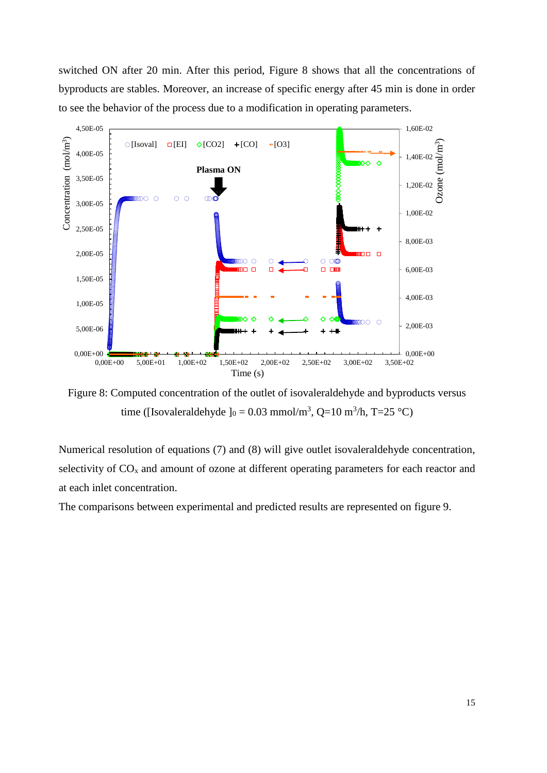switched ON after 20 min. After this period, Figure 8 shows that all the concentrations of byproducts are stables. Moreover, an increase of specific energy after 45 min is done in order to see the behavior of the process due to a modification in operating parameters.



Figure 8: Computed concentration of the outlet of isovaleraldehyde and byproducts versus time ([Isovaleraldehyde ] $_0 = 0.03$  mmol/m<sup>3</sup>, Q=10 m<sup>3</sup>/h, T=25 °C)

Numerical resolution of equations (7) and (8) will give outlet isovaleraldehyde concentration, selectivity of  $CO<sub>x</sub>$  and amount of ozone at different operating parameters for each reactor and at each inlet concentration.

The comparisons between experimental and predicted results are represented on figure 9.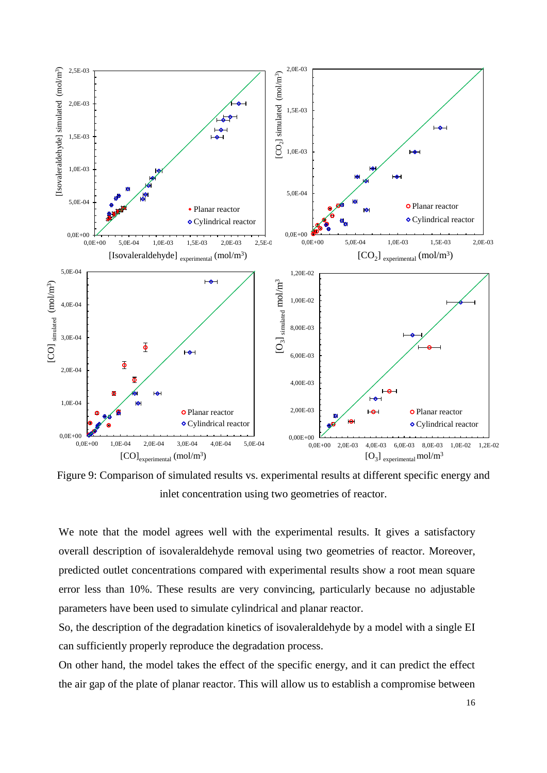

Figure 9: Comparison of simulated results vs. experimental results at different specific energy and inlet concentration using two geometries of reactor.

We note that the model agrees well with the experimental results. It gives a satisfactory overall description of isovaleraldehyde removal using two geometries of reactor. Moreover, predicted outlet concentrations compared with experimental results show a root mean square error less than 10%. These results are very convincing, particularly because no adjustable parameters have been used to simulate cylindrical and planar reactor.

So, the description of the degradation kinetics of isovaleraldehyde by a model with a single EI can sufficiently properly reproduce the degradation process.

On other hand, the model takes the effect of the specific energy, and it can predict the effect the air gap of the plate of planar reactor. This will allow us to establish a compromise between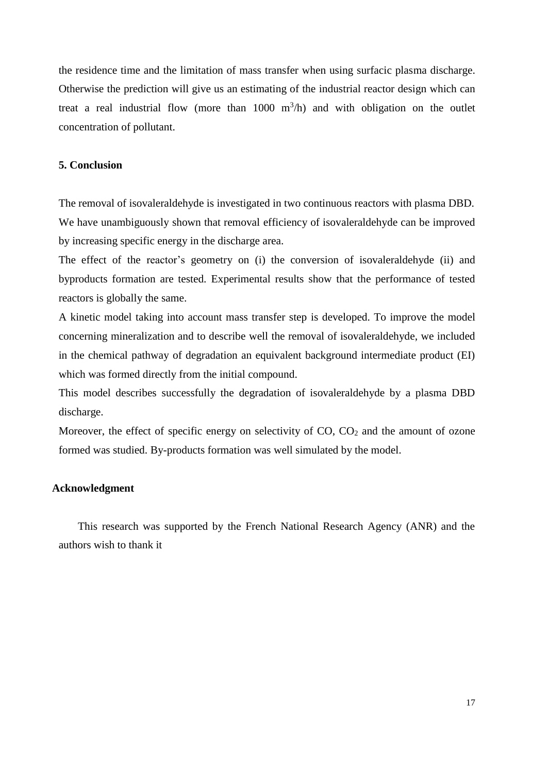the residence time and the limitation of mass transfer when using surfacic plasma discharge. Otherwise the prediction will give us an estimating of the industrial reactor design which can treat a real industrial flow (more than  $1000 \text{ m}^3/\text{h}$ ) and with obligation on the outlet concentration of pollutant.

#### **5. Conclusion**

The removal of isovaleraldehyde is investigated in two continuous reactors with plasma DBD. We have unambiguously shown that removal efficiency of isovaleraldehyde can be improved by increasing specific energy in the discharge area.

The effect of the reactor's geometry on (i) the conversion of isovaleraldehyde (ii) and byproducts formation are tested. Experimental results show that the performance of tested reactors is globally the same.

A kinetic model taking into account mass transfer step is developed. To improve the model concerning mineralization and to describe well the removal of isovaleraldehyde, we included in the chemical pathway of degradation an equivalent background intermediate product (EI) which was formed directly from the initial compound.

This model describes successfully the degradation of isovaleraldehyde by a plasma DBD discharge.

Moreover, the effect of specific energy on selectivity of  $CO$ ,  $CO<sub>2</sub>$  and the amount of ozone formed was studied. By-products formation was well simulated by the model.

#### **Acknowledgment**

 This research was supported by the French National Research Agency (ANR) and the authors wish to thank it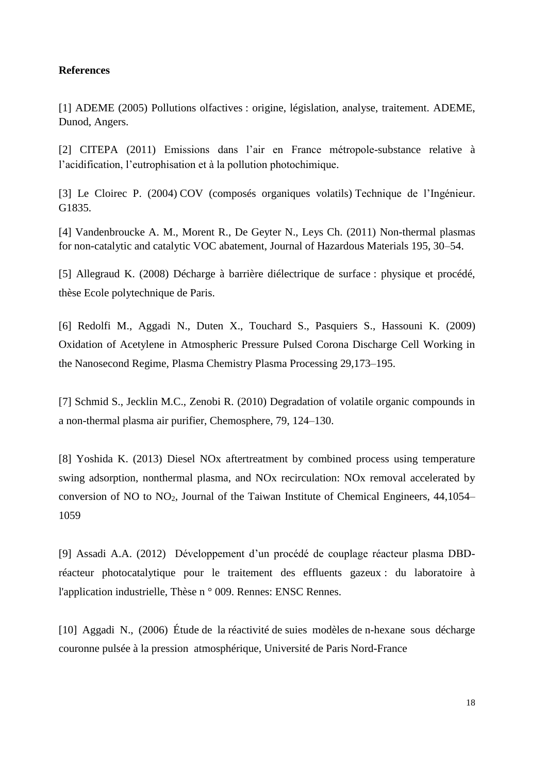#### **References**

[1] ADEME (2005) Pollutions olfactives : origine, législation, analyse, traitement. ADEME, Dunod, Angers.

[2] CITEPA (2011) Emissions dans l'air en France métropole-substance relative à l'acidification, l'eutrophisation et à la pollution photochimique.

[3] Le Cloirec P. (2004) COV (composés organiques volatils) Technique de l'Ingénieur. G1835.

[4] Vandenbroucke A. M., Morent R., De Geyter N., Leys Ch. (2011) Non-thermal plasmas for non-catalytic and catalytic VOC abatement, Journal of Hazardous Materials 195, 30–54.

[5] Allegraud K. (2008) Décharge à barrière diélectrique de surface : physique et procédé, thèse Ecole polytechnique de Paris.

[6] Redolfi M., Aggadi N., Duten X., Touchard S., Pasquiers S., Hassouni K. (2009) Oxidation of Acetylene in Atmospheric Pressure Pulsed Corona Discharge Cell Working in the Nanosecond Regime, Plasma Chemistry Plasma Processing 29,173–195.

[7] Schmid S., Jecklin M.C., Zenobi R. (2010) Degradation of volatile organic compounds in a non-thermal plasma air purifier, Chemosphere, 79, 124–130.

[8] Yoshida K. (2013) Diesel NOx aftertreatment by combined process using temperature swing adsorption, nonthermal plasma, and NOx recirculation: NOx removal accelerated by conversion of NO to NO2, Journal of the Taiwan Institute of Chemical Engineers, 44,1054– 1059

[9] Assadi A.A. (2012) Développement d'un procédé de couplage réacteur plasma DBDréacteur photocatalytique pour le traitement des effluents gazeux : du laboratoire à l'application industrielle, Thèse n ° 009. Rennes: ENSC Rennes.

[10] Aggadi N., (2006) Étude de la réactivité de suies modèles de n-hexane sous décharge couronne pulsée à la pression atmosphérique, Université de Paris Nord-France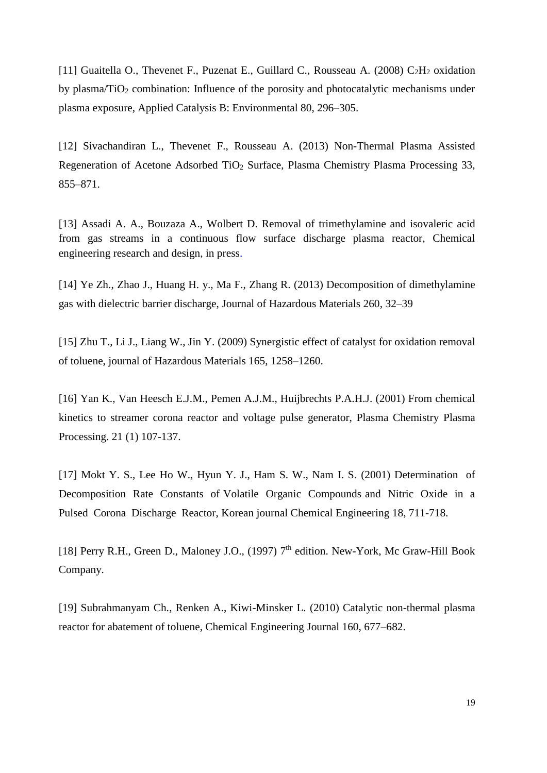[11] Guaitella O., Thevenet F., Puzenat E., Guillard C., Rousseau A. (2008)  $C_2H_2$  oxidation by plasma/ $TiO<sub>2</sub>$  combination: Influence of the porosity and photocatalytic mechanisms under plasma exposure, Applied Catalysis B: Environmental 80, 296–305.

[12] Sivachandiran L., Thevenet F., Rousseau A. (2013) Non-Thermal Plasma Assisted Regeneration of Acetone Adsorbed TiO<sub>2</sub> Surface, Plasma Chemistry Plasma Processing 33, 855–871.

[13] Assadi A. A., Bouzaza A., Wolbert D. [Removal of trimethylamine and isovaleric acid](http://www.sciencedirect.com/science/article/pii/S0304389407009302) [from gas streams i](http://www.sciencedirect.com/science/article/pii/S0304389407009302)n a continuous flow surface discharge plasma reactor, Chemical engineering research and design, in press.

[14] Ye Zh., Zhao J., Huang H. y., Ma F., Zhang R. (2013) Decomposition of dimethylamine gas with dielectric barrier discharge, Journal of Hazardous Materials 260, 32–39

[15] Zhu T., Li J., Liang W., Jin Y. (2009) Synergistic effect of catalyst for oxidation removal of toluene, journal of Hazardous Materials 165, 1258–1260.

[16] Yan K., Van Heesch E.J.M., Pemen A.J.M., Huijbrechts P.A.H.J. (2001) From chemical kinetics to streamer corona reactor and voltage pulse generator, Plasma Chemistry Plasma Processing. 21 (1) 107-137.

[17] Mokt Y. S., Lee Ho W., Hyun Y. J., Ham S. W., Nam I. S. (2001) Determination of Decomposition Rate Constants of Volatile Organic Compounds and Nitric Oxide in a Pulsed Corona Discharge Reactor, Korean journal Chemical Engineering 18, 711-718.

[18] Perry R.H., Green D., Maloney J.O., (1997) 7<sup>th</sup> edition. New-York, Mc Graw-Hill Book Company.

[19] Subrahmanyam Ch., Renken A., Kiwi-Minsker L. (2010) Catalytic non-thermal plasma reactor for abatement of toluene, Chemical Engineering Journal 160, 677–682.